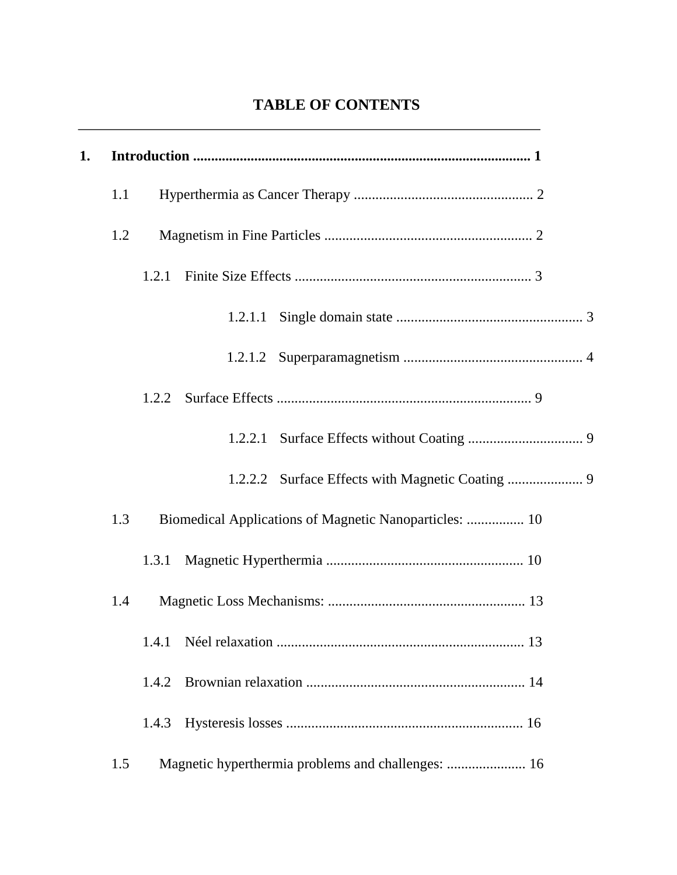## **TABLE OF CONTENTS**

| 1. |     |       |                                                        |  |
|----|-----|-------|--------------------------------------------------------|--|
|    | 1.1 |       |                                                        |  |
|    | 1.2 |       |                                                        |  |
|    |     | 1.2.1 |                                                        |  |
|    |     |       |                                                        |  |
|    |     |       |                                                        |  |
|    |     | 1.2.2 |                                                        |  |
|    |     |       |                                                        |  |
|    |     |       |                                                        |  |
|    | 1.3 |       | Biomedical Applications of Magnetic Nanoparticles:  10 |  |
|    |     | 1.3.1 |                                                        |  |
|    | 1.4 |       |                                                        |  |
|    |     | 1.4.1 |                                                        |  |
|    |     | 1.4.2 |                                                        |  |
|    |     | 1.4.3 |                                                        |  |
|    | 1.5 |       | Magnetic hyperthermia problems and challenges:  16     |  |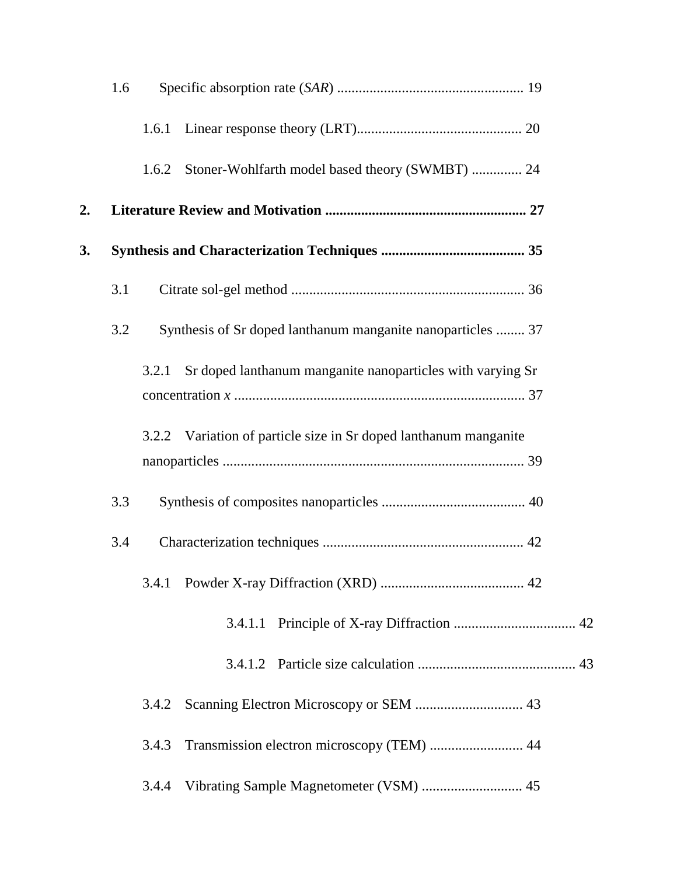|    | 1.6 |       |                                                                  |  |
|----|-----|-------|------------------------------------------------------------------|--|
|    |     | 1.6.1 |                                                                  |  |
|    |     | 1.6.2 | Stoner-Wohlfarth model based theory (SWMBT)  24                  |  |
| 2. |     |       |                                                                  |  |
| 3. |     |       |                                                                  |  |
|    | 3.1 |       |                                                                  |  |
|    | 3.2 |       | Synthesis of Sr doped lanthanum manganite nanoparticles  37      |  |
|    |     | 3.2.1 | Sr doped lanthanum manganite nanoparticles with varying Sr       |  |
|    |     |       | 3.2.2 Variation of particle size in Sr doped lanthanum manganite |  |
|    | 3.3 |       |                                                                  |  |
|    | 3.4 |       |                                                                  |  |
|    |     |       |                                                                  |  |
|    |     |       |                                                                  |  |
|    |     |       |                                                                  |  |
|    |     | 3.4.2 |                                                                  |  |
|    |     | 3.4.3 | Transmission electron microscopy (TEM)  44                       |  |
|    |     | 3.4.4 | Vibrating Sample Magnetometer (VSM)  45                          |  |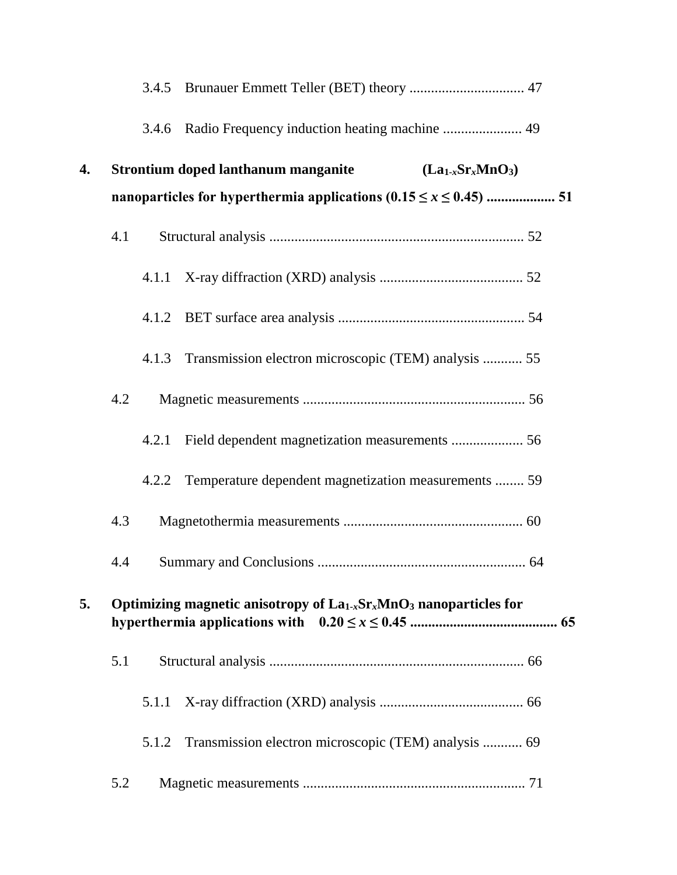|     |                                                                         | 3.4.6 |                                                                |  |  |  |
|-----|-------------------------------------------------------------------------|-------|----------------------------------------------------------------|--|--|--|
| 4.  |                                                                         |       | <b>Strontium doped lanthanum manganite</b><br>$(La1-xSrxMnO3)$ |  |  |  |
|     |                                                                         |       |                                                                |  |  |  |
|     | 4.1                                                                     |       |                                                                |  |  |  |
|     |                                                                         | 4.1.1 |                                                                |  |  |  |
|     |                                                                         |       |                                                                |  |  |  |
|     |                                                                         | 4.1.3 | Transmission electron microscopic (TEM) analysis  55           |  |  |  |
|     | 4.2                                                                     |       |                                                                |  |  |  |
|     |                                                                         | 4.2.1 | Field dependent magnetization measurements  56                 |  |  |  |
|     |                                                                         | 4.2.2 | Temperature dependent magnetization measurements  59           |  |  |  |
| 4.3 |                                                                         |       |                                                                |  |  |  |
|     | 4.4                                                                     |       |                                                                |  |  |  |
| 5.  | Optimizing magnetic anisotropy of $La_{1-x}Sr_xMnO_3$ nanoparticles for |       |                                                                |  |  |  |
|     | 5.1                                                                     |       |                                                                |  |  |  |
|     |                                                                         | 5.1.1 |                                                                |  |  |  |
|     |                                                                         | 5.1.2 | Transmission electron microscopic (TEM) analysis  69           |  |  |  |
|     | 5.2                                                                     |       |                                                                |  |  |  |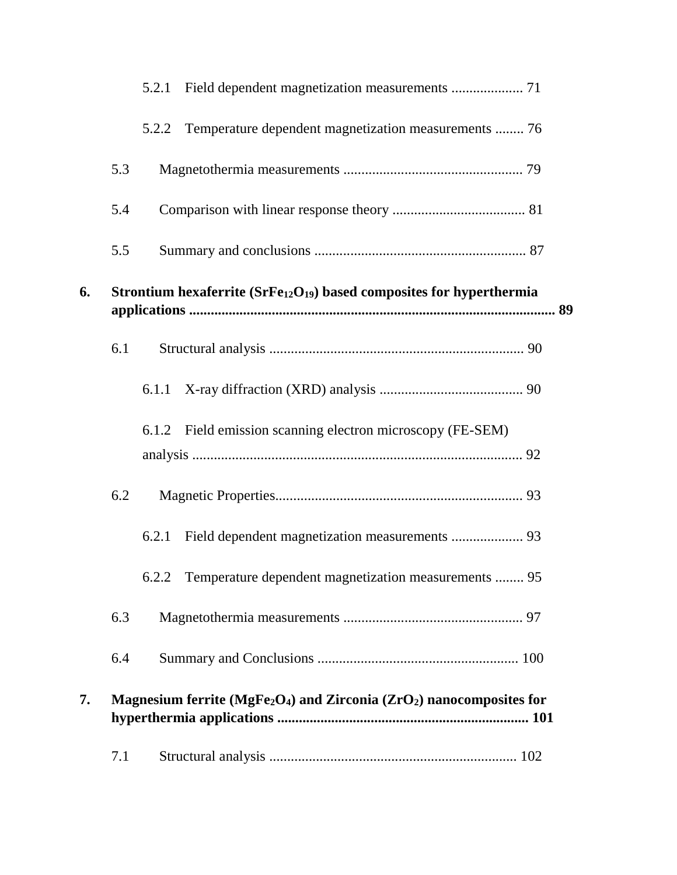|    |                                                                       | 5.2.1                                                                                            |  |  |  |
|----|-----------------------------------------------------------------------|--------------------------------------------------------------------------------------------------|--|--|--|
|    |                                                                       | Temperature dependent magnetization measurements  76<br>5.2.2                                    |  |  |  |
|    | 5.3                                                                   |                                                                                                  |  |  |  |
|    | 5.4                                                                   |                                                                                                  |  |  |  |
|    | 5.5                                                                   |                                                                                                  |  |  |  |
| 6. | Strontium hexaferrite $(SrFe12O19)$ based composites for hyperthermia |                                                                                                  |  |  |  |
|    | 6.1                                                                   |                                                                                                  |  |  |  |
|    |                                                                       |                                                                                                  |  |  |  |
|    |                                                                       | 6.1.2 Field emission scanning electron microscopy (FE-SEM)                                       |  |  |  |
|    | 6.2                                                                   |                                                                                                  |  |  |  |
|    |                                                                       | 6.2.1                                                                                            |  |  |  |
|    |                                                                       | 6.2.2 Temperature dependent magnetization measurements  95                                       |  |  |  |
|    | 6.3                                                                   |                                                                                                  |  |  |  |
|    | 6.4                                                                   |                                                                                                  |  |  |  |
| 7. |                                                                       | Magnesium ferrite (MgFe <sub>2</sub> O <sub>4</sub> ) and Zirconia ( $ZrO2$ ) nanocomposites for |  |  |  |
|    | 7.1                                                                   |                                                                                                  |  |  |  |